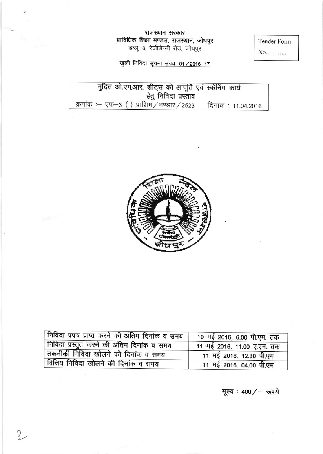# राजस्थान सरकार **प्राविधिक शिक्षा मण्डल, राजस्थान, जोधपुर**<br>डब्लू—६, रेजीडेन्सी रोड़, जोधपुर

Tender Form

 $\rm No.$  ..........

खुली निविदा सूचना संख्या 01 / 2016-17

मुद्रित ओ.एम.आर. शीट्स की आपूर्ति एवं स्केनिंग कार्य<br>हेतु निविदा प्रस्ताव क्रमांक :- एफ-3 () प्राशिम/भण्डार/2523 दिनांक: 11.04.2016



| निविदा प्रपत्र प्राप्त करने की अंतिम दिनांक व समय | 10 मई 2016, 6.00 पी.एम. तक |
|---------------------------------------------------|----------------------------|
| निविदा प्रस्तुत करने की अंतिम दिनांक व समय        | 11 मई 2016, 11.00 ए.एम. तक |
| तकनीकी निविदा खोलने की दिनांक व समय               | 11 मई 2016, 12.30 पी.एम    |
| वित्तिय निविदा खोलने की दिनांक व समय              | 11 मई 2016, 04.00 पी.एम    |

मूल्य : 400 / - रूपये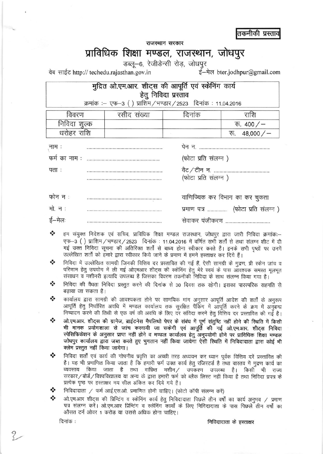तकनीकी प्रस्ताव

राजस्थान सरकार

## प्राविधिक शिक्षा मण्डल, राजस्थान, जोधपुर

डब्लू-6, रेजीडेन्सी रोड़, जोधपुर

वेब साईट http:// techedu.rajasthan.gov.in

ई-मेल bter.jodhpur@gmail.com

### मुद्रित ओ.एम.आर. शीट्स की आपूर्ति एवं स्केनिंग कार्य हेतु निविदा प्रस्ताव

क्रमांक :- एफ-3 () प्राशिम / भण्डार / 2523 दिनांक : 11.04.2016

| विवरण        | रसीद संख्या | दिनाक | राशि                  |
|--------------|-------------|-------|-----------------------|
| निविदा शुल्क |             |       | रू. $400 / -$         |
| धरोहर राशि   |             |       | 48,000 $/$ -<br>र्रू. |

| .नाम :  |                                   |
|---------|-----------------------------------|
|         | (फोटा प्रति संलग्न)               |
| पता :   |                                   |
|         | (फोटा प्रति संलग्न)               |
|         |                                   |
| फोन न ः | वाणिज्यिक कर विभाग का कर चुकता    |
| मो. न : | प्रमाण पत्र  (फोटा प्रति संलग्न ) |
| ई—मेलः  | सेवाकर पंजीकरण                    |

- ❖ हम संयुक्त निदेशक एवं सचिव, प्राविधिक शिक्षा मण्डल राजस्थान, जोधपुर द्वारा जारी निविदा क्रमांक:-एफ-3 () प्राशिम / भण्डार / 2523 दिनांक: 11.04.2016 में वर्णित सभी शर्तों से तथा संलग्न शीट में दी गई उक्त निविदा सूचना की अतिरिक्त शर्तों से बाध्य होना स्वीकार करते हैं। इनके सभी पृष्ठों पर उनमें उल्लेखित शर्तों को हमारे द्वारा स्वीकार किये जाने के प्रमाण में हमने हस्ताक्षर कर दिये हैं।
- ❖ निविदा में उल्लेखित सामग्री जिनकी वित्तिय दर प्रस्तावित की गई हैं, ऐसी सामग्री के मुद्रण, प्री स्केन जांच व परिणाम हेतु उपयोग में ली गई ओएमआर शीट्स की स्केनिंग हेतु मेरे स्वयं के पास आवश्यक समस्त मूलभूत संसाधन व मशीनरी इत्यादि उपलब्ध है जिसका विवरण तकनीकी निविदा के साथ संलग्न किया गया है।
- ∙⊱ निविदा की वैधता निविदा प्रस्तुत करने की दिनांक से 30 दिवस तक रहेगी। इसका पारस्परिक सहमति से बढाया जा सकता है।
- ❖ कार्यालय द्वारा सामग्री की आवश्यकता होने पर सामयिक मांग अनुसार आपूर्ति आदेश की शर्तों के अनुरूप आपूर्ति हेतु निर्धारित अवधि में मण्डल कार्यालय तक सुरक्षित पैंकिंग में आपूर्ति करने के क्रम में अनुबन्ध निष्पादन करने की तिथी से एक वर्ष की अवधि के लिए दर संविदा करने हेतु वित्तिय दर प्रस्तावित की गई है।
- ❖ ओ.एम.आर. शीट्स की ग्रामेज, ब्राईटनेस मैपलिथो पेपर के संबंध में पूर्ण संतुष्टि नहीं होने की स्थिति में किसी भी मानक प्रयोगशाला से जांच करवायी जा सकेगी एवं आपूर्ति की गई ओ.एम.आर. शीट्स निविदा स्पेसिफिकेशन के अनुसार प्राप्त नहीं होने व मण्डल कार्यालय हेतु अनुपयोगी होने पर प्राविधिक शिक्षा मण्डल जोधपुर कार्यालय द्वारा जब्त करते हुए भुगतान नहीं किया जायेगा ऐसी स्थिति में निविदादाता द्वारा कोई भी क्लेम प्रस्तुत नहीं किया जायेगा।
- ❖ निविदा शर्तों एवं कार्य की गोपनीय प्रवृत्ति का अच्छी तरह अध्ययन कर ध्यान पूर्वक वित्तिय दरें प्रस्तावित की है। यह भी प्रमाणित किया जाता है कि हमारी फर्म उक्त कार्य हेतू रजिस्टर्ड है तथा वास्तव में मुद्रण कार्य का व्यवसाय किया जाता है तथा वांछित मशीन / उपकरण उपलब्ध है। किसी भी राज्य सरकार/बोर्ड/विश्वविद्यालय या अन्य के द्वारा हमारी फर्म को ब्लैक लिस्ट नहीं किया है तथा निविदा प्रपत्र के प्रत्येक पृष्ठ पर हस्ताक्षर मय सील अंकित कर दिये गये है।
- ❖ निविदादाता / फर्म आई.एस.ओ. प्रमाणित होनी चाहिए। (फोटो कॉपी संलग्न करें)
- ओ.एम.आर शीट्स की प्रिन्टिंग व स्केनिंग कार्य हेतु निविदादाता पिछले तीन वर्षों का कार्य अनुभव / प्रमाण पत्र संलग्न करें। ओ.एम.आर प्रिन्टिंग व स्केनिंग कार्यों के लिए निविदादाता के पास पिछले तीन वर्षों का औसत टर्न ओवर 1 करोड या उससे अधिक होना चाहिए।

दिनांक :

निविदादाता के हस्ताक्षर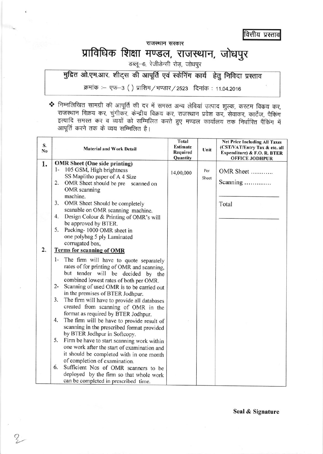वित्तीय प्रस्ताव

राजस्थान सरकार

# प्राविधिक शिक्षा मण्डल, राजस्थान, जोधपुर

डब्लू-6, रेजीडेन्सी रोड़, जोधपुर

मुद्रित ओ.एम.आर. शीट्स की आपूर्ति एवं स्केनिंग कार्य हेतु निविदा प्रस्ताव

क्रमांक :- एफ-3 () प्राशिम/भण्डार/2523 दिनांक : 11.04.2016

\* निम्नलिखित सामग्री की आपूर्ति की दर में समस्त अन्य लेवियां उत्पाद शुल्क, कस्टम विकय कर, राजस्थान विक्रय कर, चुंगीकर, केन्द्रीय विक्रय कर, राजस्थान प्रवेश कर, सेवाकर, कार्टेज, पैकिंग इत्यादि समस्त कर व व्ययों को सम्मिलित करते हुए मण्डल कार्यालय तक निर्धारित पैंकिंग में आपूर्ति करने तक के व्यय सम्मिलित है।

| S.<br>N <sub>0</sub> | <b>Material and Work Detail</b>                                                                                                                                                                                                                                                                                                                                                                                                                                                                                                                                                                                                                                                                                                                                                                                                                                                                 | <b>Total</b><br><b>Estimate</b><br>Required<br>Quantity | Unit         | <b>Net Price Including All Taxes</b><br>(CST/VAT/Entry Tax & etc. all<br>Expenditure) & F.O. R. BTER<br><b>OFFICE JODHPUR</b> |
|----------------------|-------------------------------------------------------------------------------------------------------------------------------------------------------------------------------------------------------------------------------------------------------------------------------------------------------------------------------------------------------------------------------------------------------------------------------------------------------------------------------------------------------------------------------------------------------------------------------------------------------------------------------------------------------------------------------------------------------------------------------------------------------------------------------------------------------------------------------------------------------------------------------------------------|---------------------------------------------------------|--------------|-------------------------------------------------------------------------------------------------------------------------------|
| 1.                   | <b>OMR</b> Sheet (One side printing)<br>$1-$<br>105 GSM, High brightness<br>SS Maplitho paper of A 4 Size<br>2.<br>OMR Sheet should be pre scanned on<br>OMR scanning<br>machine.<br>3.<br>OMR Sheet Should be completely<br>scanable on OMR scanning machine.<br>4.<br>Design Colour & Printing of OMR's will<br>be approved by BTER.<br>5.<br>Packing-1000 OMR sheet in<br>one polybag 5 ply Laminated<br>corrugated box,                                                                                                                                                                                                                                                                                                                                                                                                                                                                     | 14,00,000                                               | Per<br>Sheet | OMR Sheet<br>Scanning<br>Total                                                                                                |
| 2.                   | <b>Terms for scanning of OMR</b><br>$1-$<br>The firm will have to quote separately<br>rates of for printing of OMR and scanning,<br>but tender will be decided by the<br>combined lowest rates of both per OMR.<br>$2 -$<br>Scanning of used OMR is to be carried out<br>in the premises of BTER Jodhpur.<br>3.<br>The firm will have to provide all databases<br>created from scanning of OMR in the<br>format as required by BTER Jodhpur.<br>4.<br>The firm will be have to provide result of<br>scanning in the prescribed format provided<br>by BTER Jodhpur in Softcopy.<br>5.<br>Firm be have to start scanning work within<br>one work after the start of examination and<br>it should be completed with in one month<br>of completion of examination.<br>6.<br>Sufficient Nos of OMR scanners to be<br>deployed by the firm so that whole work<br>can be completed in prescribed time. |                                                         |              |                                                                                                                               |

3